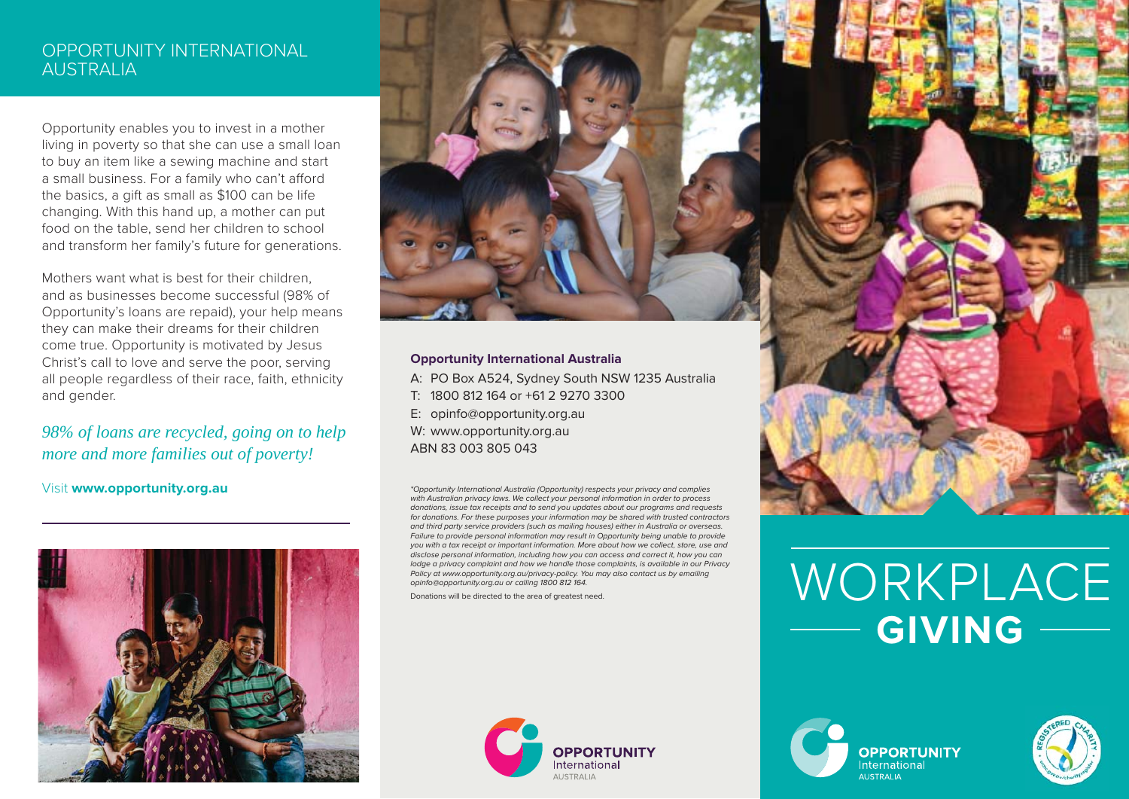## OPPORTUNITY INTERNATIONAL AUSTRALIA

Opportunity enables you to invest in a mother living in poverty so that she can use a small loan to buy an item like a sewing machine and start a small business. For a family who can't afford the basics, a gift as small as \$100 can be life changing. With this hand up, a mother can put food on the table, send her children to school and transform her family's future for generations.

Mothers want what is best for their children, and as businesses become successful (98% of Opportunity's loans are repaid), your help means they can make their dreams for their children come true. Opportunity is motivated by Jesus Christ's call to love and serve the poor, serving all people regardless of their race, faith, ethnicity and gender.

## *98% of loans are recycled, going on to help more and more families out of poverty!*

Visit **www.opportunity.org.au**





#### **Opportunity International Australia**

- A: PO Box A524, Sydney South NSW 1235 Australia
- T: 1800 812 164 or +61 2 9270 3300
- E: opinfo@opportunity.org.au
- W: www.opportunity.org.au
- ABN 83 003 805 043

\*Opportunity International Australia (Opportunity) respects your privacy and complies with Australian privacy laws. We collect your personal information in order to process donations, issue tax receipts and to send you updates about our programs and requests for donations. For these purposes your information may be shared with trusted contractors and third party service providers (such as mailing houses) either in Australia or overseas. Failure to provide personal information may result in Opportunity being unable to provide you with a tax receipt or important information. More about how we collect, store, use and disclose personal information, including how you can access and correct it, how you can lodge a privacy complaint and how we handle those complaints, is available in our Privacy Policy at www.opportunity.org.au/privacy-policy. You may also contact us by emailing opinfo@opportunity.org.au or calling 1800 812 164.

Donations will be directed to the area of greatest need.





# **GIVING** WORKPLACE